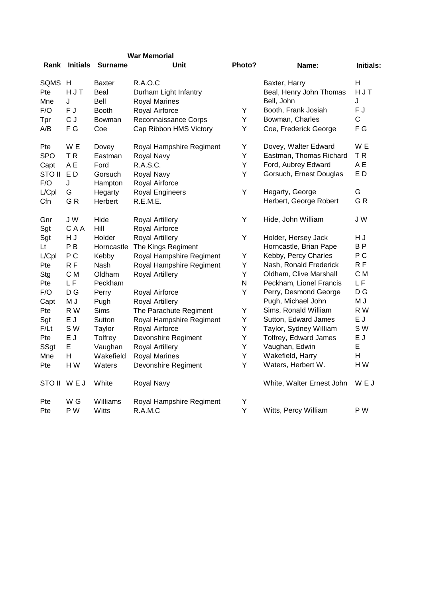| <b>War Memorial</b> |  |  |
|---------------------|--|--|
|                     |  |  |

| Rank                 | <b>Initials</b> | <b>Surname</b>       | Unit                         | Photo?                  | Name:                                   | Initials:      |
|----------------------|-----------------|----------------------|------------------------------|-------------------------|-----------------------------------------|----------------|
| SQMS H               |                 | <b>Baxter</b>        | <b>R.A.O.C</b>               |                         | Baxter, Harry                           | $\mathsf{H}$   |
| Pte                  | HJT             | Beal                 | Durham Light Infantry        |                         | Beal, Henry John Thomas                 | HJT            |
| Mne                  | J               | Bell                 | <b>Royal Marines</b>         |                         | Bell, John                              | J              |
| F/O                  | F J             | <b>Booth</b>         | Royal Airforce               | Υ                       | Booth, Frank Josiah                     | F J            |
| Tpr                  | C J             | Bowman               | Reconnaissance Corps         | Y                       | Bowman, Charles                         | C              |
| A/B                  | F G             | Coe                  | Cap Ribbon HMS Victory       | Υ                       | Coe, Frederick George                   | F G            |
| Pte                  | W E             | Dovey                | Royal Hampshire Regiment     | Υ                       | Dovey, Walter Edward                    | W E            |
| <b>SPO</b>           | TR              | Eastman              | Royal Navy                   | Υ                       | Eastman, Thomas Richard                 | TR             |
| Capt                 | A E             | Ford                 | R.A.S.C.                     | Y                       | Ford, Aubrey Edward                     | A E            |
| <b>STO II</b><br>F/O | ED<br>J         | Gorsuch<br>Hampton   | Royal Navy<br>Royal Airforce | Υ                       | Gorsuch, Ernest Douglas                 | ED             |
| L/Cpl                | G               | Hegarty              | Royal Engineers              | Υ                       | Hegarty, George                         | G              |
| Cfn                  | GR              | Herbert              | R.E.M.E.                     |                         | Herbert, George Robert                  | GR             |
| Gnr                  | JW              | Hide                 | Royal Artillery              | Υ                       | Hide, John William                      | J W            |
| Sgt                  | CAA             | Hill                 | Royal Airforce               |                         |                                         |                |
| Sgt                  | H J             | Holder               | Royal Artillery              | Υ                       | Holder, Hersey Jack                     | H J            |
| Lt                   | P B             | Horncastle           | The Kings Regiment           |                         | Horncastle, Brian Pape                  | B <sub>P</sub> |
| L/Cpl                | P <sub>C</sub>  | Kebby                | Royal Hampshire Regiment     | Υ                       | Kebby, Percy Charles                    | P <sub>C</sub> |
| Pte                  | R F             | Nash                 | Royal Hampshire Regiment     | Υ                       | Nash, Ronald Frederick                  | R F            |
| Stg                  | C M             | Oldham               | Royal Artillery              | Y                       | Oldham, Clive Marshall                  | C M            |
| Pte                  | L F             | Peckham              |                              | $\overline{\mathsf{N}}$ | Peckham, Lionel Francis                 | LF             |
| F/O                  | D G             | Perry                | Royal Airforce               | Υ                       | Perry, Desmond George                   | D G            |
| Capt                 | M J             | Pugh                 | <b>Royal Artillery</b>       |                         | Pugh, Michael John                      | M J            |
| Pte                  | R W             | Sims                 | The Parachute Regiment       | Y                       | Sims, Ronald William                    | R W            |
| Sgt                  | E J             | Sutton               | Royal Hampshire Regiment     | Υ                       | Sutton, Edward James                    | E J<br>S W     |
| F/Lt                 | SW<br>E J       | Taylor               | Royal Airforce               | Υ<br>Υ                  | Taylor, Sydney William                  | E J            |
| Pte                  | E               | Tolfrey              | Devonshire Regiment          | Υ                       | Tolfrey, Edward James<br>Vaughan, Edwin | E              |
| SSgt                 | Н               | Vaughan<br>Wakefield | Royal Artillery              | Y                       | Wakefield, Harry                        | H              |
| Mne<br>Pte           | H W             | Waters               | <b>Royal Marines</b>         | Υ                       | Waters, Herbert W.                      | H W            |
|                      |                 |                      | Devonshire Regiment          |                         |                                         |                |
| STO II WEJ           |                 | White                | Royal Navy                   |                         | White, Walter Ernest John               | WEJ            |
| Pte                  | W G             | Williams             | Royal Hampshire Regiment     | Υ                       |                                         |                |
| Pte                  | P W             | Witts                | R.A.M.C                      | Υ                       | Witts, Percy William                    | P W            |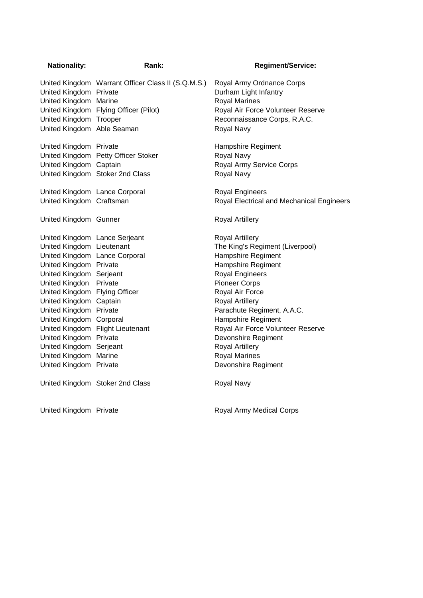| <b>Nationality:</b>                             | Rank:                                              | <b>Regiment/Service:</b>                                                   |
|-------------------------------------------------|----------------------------------------------------|----------------------------------------------------------------------------|
| United Kingdom Private<br>United Kingdom Marine | United Kingdom Warrant Officer Class II (S.Q.M.S.) | Royal Army Ordnance Corps<br>Durham Light Infantry<br><b>Royal Marines</b> |
|                                                 | United Kingdom Flying Officer (Pilot)              | Royal Air Force Volunteer Reserve                                          |
| United Kingdom Trooper                          |                                                    | Reconnaissance Corps, R.A.C.                                               |
| United Kingdom Able Seaman                      |                                                    | Royal Navy                                                                 |
| United Kingdom Private                          |                                                    | Hampshire Regiment                                                         |
|                                                 | United Kingdom Petty Officer Stoker                | Royal Navy                                                                 |
| United Kingdom Captain                          |                                                    | Royal Army Service Corps                                                   |
|                                                 | United Kingdom Stoker 2nd Class                    | Royal Navy                                                                 |
| United Kingdom Lance Corporal                   |                                                    | <b>Royal Engineers</b>                                                     |
| United Kingdom Craftsman                        |                                                    | Royal Electrical and Mechanical Engineers                                  |
| United Kingdom Gunner                           |                                                    | <b>Royal Artillery</b>                                                     |
| United Kingdom Lance Serjeant                   |                                                    | <b>Royal Artillery</b>                                                     |
| United Kingdom Lieutenant                       |                                                    | The King's Regiment (Liverpool)                                            |
| United Kingdom Lance Corporal                   |                                                    | Hampshire Regiment                                                         |
| United Kingdom Private                          |                                                    | Hampshire Regiment                                                         |
| United Kingdom Serjeant                         |                                                    | <b>Royal Engineers</b>                                                     |
| United Kingdon Private                          |                                                    | <b>Pioneer Corps</b>                                                       |
| United Kingdom Flying Officer                   |                                                    | Royal Air Force                                                            |
| United Kingdom Captain                          |                                                    | Royal Artillery                                                            |
| United Kingdom Private                          |                                                    | Parachute Regiment, A.A.C.                                                 |
| United Kingdom Corporal                         |                                                    | Hampshire Regiment                                                         |
|                                                 | United Kingdom Flight Lieutenant                   | Royal Air Force Volunteer Reserve                                          |
| United Kingdom Private                          |                                                    | Devonshire Regiment                                                        |
| United Kingdom Serjeant                         |                                                    | <b>Royal Artillery</b>                                                     |
| United Kingdom Marine                           |                                                    | <b>Royal Marines</b>                                                       |
| United Kingdom Private                          |                                                    | Devonshire Regiment                                                        |
|                                                 | United Kingdom Stoker 2nd Class                    | Royal Navy                                                                 |
|                                                 |                                                    |                                                                            |

United Kingdom Private **Royal Army Medical Corps**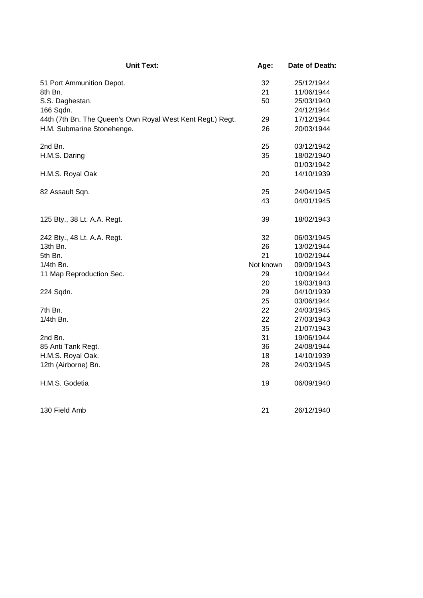| <b>Unit Text:</b>                                          | Age:      | Date of Death: |
|------------------------------------------------------------|-----------|----------------|
| 51 Port Ammunition Depot.                                  | 32        | 25/12/1944     |
| 8th Bn.                                                    | 21        | 11/06/1944     |
| S.S. Daghestan.                                            | 50        | 25/03/1940     |
| 166 Sqdn.                                                  |           | 24/12/1944     |
| 44th (7th Bn. The Queen's Own Royal West Kent Regt.) Regt. | 29        | 17/12/1944     |
| H.M. Submarine Stonehenge.                                 | 26        | 20/03/1944     |
| 2nd Bn.                                                    | 25        | 03/12/1942     |
| H.M.S. Daring                                              | 35        | 18/02/1940     |
|                                                            |           | 01/03/1942     |
| H.M.S. Royal Oak                                           | 20        | 14/10/1939     |
| 82 Assault Sqn.                                            | 25        | 24/04/1945     |
|                                                            | 43        | 04/01/1945     |
| 125 Bty., 38 Lt. A.A. Regt.                                | 39        | 18/02/1943     |
| 242 Bty., 48 Lt. A.A. Regt.                                | 32        | 06/03/1945     |
| 13th Bn.                                                   | 26        | 13/02/1944     |
| 5th Bn.                                                    | 21        | 10/02/1944     |
| 1/4th Bn.                                                  | Not known | 09/09/1943     |
| 11 Map Reproduction Sec.                                   | 29        | 10/09/1944     |
|                                                            | 20        | 19/03/1943     |
| 224 Sqdn.                                                  | 29        | 04/10/1939     |
|                                                            | 25        | 03/06/1944     |
| 7th Bn.                                                    | 22        | 24/03/1945     |
| $1/4$ th Bn.                                               | 22        | 27/03/1943     |
|                                                            | 35        | 21/07/1943     |
| 2nd Bn.                                                    | 31        | 19/06/1944     |
| 85 Anti Tank Regt.                                         | 36        | 24/08/1944     |
| H.M.S. Royal Oak.                                          | 18        | 14/10/1939     |
| 12th (Airborne) Bn.                                        | 28        | 24/03/1945     |
| H.M.S. Godetia                                             | 19        | 06/09/1940     |
| 130 Field Amb                                              | 21        | 26/12/1940     |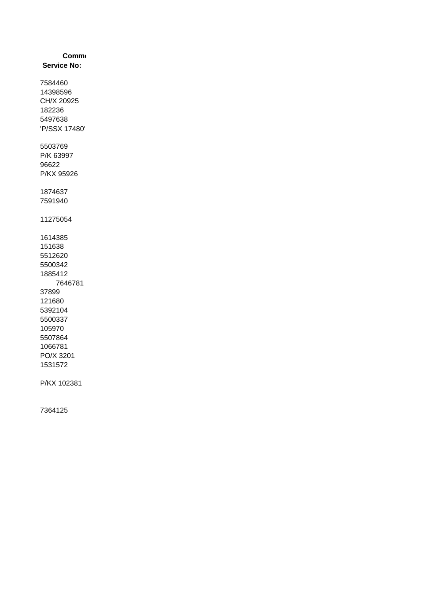| <b>Comm</b>        |
|--------------------|
| <b>Service No:</b> |
| 7584460            |
| 14398596           |
| CH/X 20925         |
| 182236             |
| 5497638            |
| 'P/SSX 17480'      |
| 5503769            |
| P/K 63997          |
| 96622              |
| P/KX 95926         |
| 1874637            |
| 7591940            |
| 11275054           |
| 1614385            |
| 151638             |
| 5512620            |
| 5500342            |
| 1885412            |
| 7646781            |
| 37899<br>121680    |
| 5392104            |
| 5500337            |
| 105970             |
| 5507864            |
| 1066781            |
| PO/X 3201          |
| 1531572            |
| P/KX 102381        |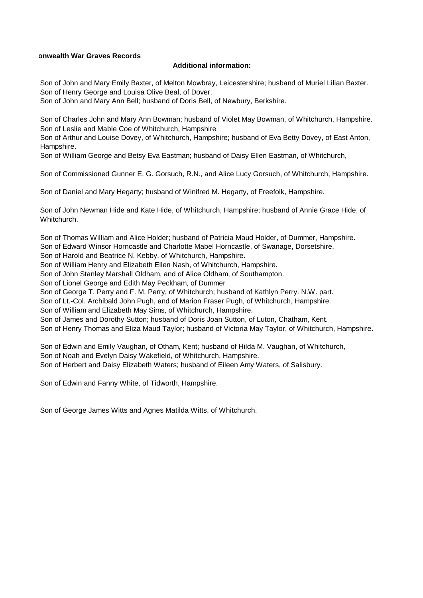## **Commonwealth War Graves Records**

## **Additional information:**

Son of John and Mary Emily Baxter, of Melton Mowbray, Leicestershire; husband of Muriel Lilian Baxter. Son of Henry George and Louisa Olive Beal, of Dover.

Son of John and Mary Ann Bell; husband of Doris Bell, of Newbury, Berkshire.

Son of Charles John and Mary Ann Bowman; husband of Violet May Bowman, of Whitchurch, Hampshire. Son of Leslie and Mable Coe of Whitchurch, Hampshire

Son of Arthur and Louise Dovey, of Whitchurch, Hampshire; husband of Eva Betty Dovey, of East Anton, Hampshire.

Son of William George and Betsy Eva Eastman; husband of Daisy Ellen Eastman, of Whitchurch,

Son of Commissioned Gunner E. G. Gorsuch, R.N., and Alice Lucy Gorsuch, of Whitchurch, Hampshire.

Son of Daniel and Mary Hegarty; husband of Winifred M. Hegarty, of Freefolk, Hampshire.

Son of John Newman Hide and Kate Hide, of Whitchurch, Hampshire; husband of Annie Grace Hide, of Whitchurch.

Son of Thomas William and Alice Holder; husband of Patricia Maud Holder, of Dummer, Hampshire. Son of Edward Winsor Horncastle and Charlotte Mabel Horncastle, of Swanage, Dorsetshire.

Son of Harold and Beatrice N. Kebby, of Whitchurch, Hampshire.

Son of William Henry and Elizabeth Ellen Nash, of Whitchurch, Hampshire.

Son of John Stanley Marshall Oldham, and of Alice Oldham, of Southampton.

Son of Lionel George and Edith May Peckham, of Dummer

Son of George T. Perry and F. M. Perry, of Whitchurch; husband of Kathlyn Perry. N.W. part.

Son of Lt.-Col. Archibald John Pugh, and of Marion Fraser Pugh, of Whitchurch, Hampshire.

Son of William and Elizabeth May Sims, of Whitchurch, Hampshire.

Son of James and Dorothy Sutton; husband of Doris Joan Sutton, of Luton, Chatham, Kent.

Son of Henry Thomas and Eliza Maud Taylor; husband of Victoria May Taylor, of Whitchurch, Hampshire.

Son of Edwin and Emily Vaughan, of Otham, Kent; husband of Hilda M. Vaughan, of Whitchurch, Son of Noah and Evelyn Daisy Wakefield, of Whitchurch, Hampshire. Son of Herbert and Daisy Elizabeth Waters; husband of Eileen Amy Waters, of Salisbury.

Son of Edwin and Fanny White, of Tidworth, Hampshire.

Son of George James Witts and Agnes Matilda Witts, of Whitchurch.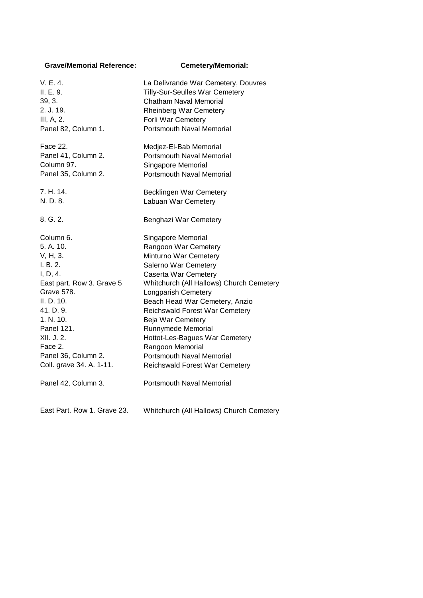## **Grave/Memorial Reference: Cemetery/Memorial:**

| V.E.4.                    | La Delivrande War Cemetery, Douvres      |
|---------------------------|------------------------------------------|
| II. E. 9.                 | Tilly-Sur-Seulles War Cemetery           |
| 39, 3.                    | <b>Chatham Naval Memorial</b>            |
| 2. J. 19.                 | <b>Rheinberg War Cemetery</b>            |
| III, A, 2.                | Forli War Cemetery                       |
| Panel 82, Column 1.       | <b>Portsmouth Naval Memorial</b>         |
| Face 22.                  | Medjez-El-Bab Memorial                   |
| Panel 41, Column 2.       | <b>Portsmouth Naval Memorial</b>         |
| Column 97.                | Singapore Memorial                       |
| Panel 35, Column 2.       | <b>Portsmouth Naval Memorial</b>         |
| 7. H. 14.                 | Becklingen War Cemetery                  |
| N. D. 8.                  | Labuan War Cemetery                      |
| 8. G. 2.                  | Benghazi War Cemetery                    |
| Column 6.                 | Singapore Memorial                       |
| 5. A. 10.                 | Rangoon War Cemetery                     |
| V, H, 3.                  | Minturno War Cemetery                    |
| I. B. 2.                  | Salerno War Cemetery                     |
| I, D, 4.                  | Caserta War Cemetery                     |
| East part. Row 3. Grave 5 | Whitchurch (All Hallows) Church Cemetery |
| <b>Grave 578.</b>         | Longparish Cemetery                      |
| II. D. 10.                | Beach Head War Cemetery, Anzio           |
| 41. D. 9.                 | <b>Reichswald Forest War Cemetery</b>    |
| 1. N. 10.                 | Beja War Cemetery                        |
| Panel 121.                | Runnymede Memorial                       |
| XII. J. 2.                | Hottot-Les-Bagues War Cemetery           |
| Face 2.                   | Rangoon Memorial                         |
| Panel 36, Column 2.       | <b>Portsmouth Naval Memorial</b>         |
| Coll. grave 34. A. 1-11.  | Reichswald Forest War Cemetery           |
| Panel 42, Column 3.       | <b>Portsmouth Naval Memorial</b>         |
|                           |                                          |

East Part. Row 1. Grave 23. Whitchurch (All Hallows) Church Cemetery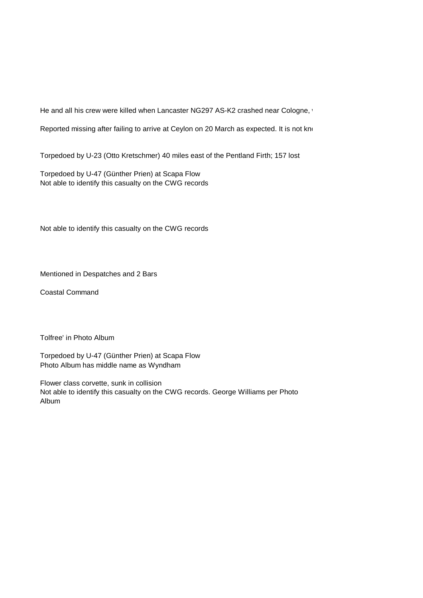He and all his crew were killed when Lancaster NG297 AS-K2 crashed near Cologne, v

Reported missing after failing to arrive at Ceylon on 20 March as expected. It is not know

Torpedoed by U-23 (Otto Kretschmer) 40 miles east of the Pentland Firth; 157 lost

Torpedoed by U-47 (Günther Prien) at Scapa Flow Not able to identify this casualty on the CWG records

Not able to identify this casualty on the CWG records

Mentioned in Despatches and 2 Bars

Coastal Command

Tolfree' in Photo Album

Torpedoed by U-47 (Günther Prien) at Scapa Flow Photo Album has middle name as Wyndham

Flower class corvette, sunk in collision Not able to identify this casualty on the CWG records. George Williams per Photo Album